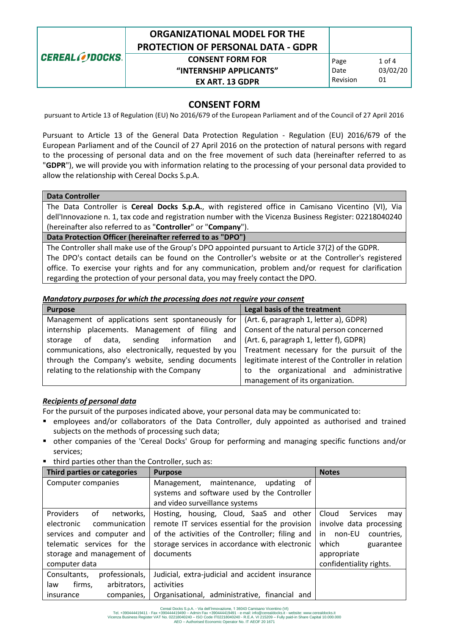|                 | <b>ORGANIZATIONAL MODEL FOR THE</b><br><b>PROTECTION OF PERSONAL DATA - GDPR</b> |          |          |
|-----------------|----------------------------------------------------------------------------------|----------|----------|
| CEREAL OJDOCKS. | <b>CONSENT FORM FOR</b>                                                          | Page     | $1$ of 4 |
|                 | "INTERNSHIP APPLICANTS"                                                          | Date     | 03/02/20 |
|                 | <b>EX ART. 13 GDPR</b>                                                           | Revision | 01       |

## **CONSENT FORM**

pursuant to Article 13 of Regulation (EU) No 2016/679 of the European Parliament and of the Council of 27 April 2016

Pursuant to Article 13 of the General Data Protection Regulation - Regulation (EU) 2016/679 of the European Parliament and of the Council of 27 April 2016 on the protection of natural persons with regard to the processing of personal data and on the free movement of such data (hereinafter referred to as "**GDPR**"), we will provide you with information relating to the processing of your personal data provided to allow the relationship with Cereal Docks S.p.A.

## **Data Controller**

The Data Controller is **Cereal Docks S.p.A.**, with registered office in Camisano Vicentino (VI), Via dell'Innovazione n. 1, tax code and registration number with the Vicenza Business Register: 02218040240 (hereinafter also referred to as "**Controller**" or "**Company**").

**Data Protection Officer (hereinafter referred to as "DPO")**

The Controller shall make use of the Group's DPO appointed pursuant to Article 37(2) of the GDPR. The DPO's contact details can be found on the Controller's website or at the Controller's registered office. To exercise your rights and for any communication, problem and/or request for clarification regarding the protection of your personal data, you may freely contact the DPO.

#### *Mandatory purposes for which the processing does not require your consent*

| <b>Purpose</b>                                                                                       | Legal basis of the treatment             |  |  |
|------------------------------------------------------------------------------------------------------|------------------------------------------|--|--|
| Management of applications sent spontaneously for $\vert$ (Art. 6, paragraph 1, letter a), GDPR)     |                                          |  |  |
| internship placements. Management of filing and Consent of the natural person concerned              |                                          |  |  |
| storage of data, sending information and (Art. 6, paragraph 1, letter f), GDPR)                      |                                          |  |  |
| communications, also electronically, requested by you Treatment necessary for the pursuit of the     |                                          |  |  |
| through the Company's website, sending documents   legitimate interest of the Controller in relation |                                          |  |  |
| relating to the relationship with the Company                                                        | to the organizational and administrative |  |  |
|                                                                                                      | management of its organization.          |  |  |

#### *Recipients of personal data*

For the pursuit of the purposes indicated above, your personal data may be communicated to:

- employees and/or collaborators of the Data Controller, duly appointed as authorised and trained subjects on the methods of processing such data;
- other companies of the 'Cereal Docks' Group for performing and managing specific functions and/or services;
- third parties other than the Controller, such as:

| Third parties or categories         | <b>Purpose</b>                                  | <b>Notes</b>             |
|-------------------------------------|-------------------------------------------------|--------------------------|
| Computer companies                  | Management, maintenance, updating of            |                          |
|                                     | systems and software used by the Controller     |                          |
|                                     | and video surveillance systems                  |                          |
| <b>Providers</b><br>networks.<br>οf | Hosting, housing, Cloud, SaaS and other         | Cloud<br>Services<br>may |
| communication<br>electronic         | remote IT services essential for the provision  | involve data processing  |
| services and computer and           | of the activities of the Controller; filing and | in non-EU<br>countries,  |
| telematic services for the          | storage services in accordance with electronic  | which<br>guarantee       |
| storage and management of           | documents                                       | appropriate              |
| computer data                       |                                                 | confidentiality rights.  |
| professionals,<br>Consultants.      | Judicial, extra-judicial and accident insurance |                          |
| arbitrators,<br>firms.<br>law       | activities                                      |                          |
| companies.<br>insurance             | Organisational, administrative, financial and   |                          |

Cereal Docks S.p.A. - Via dell'Innovazione, 1 36043 Camisano Vicentino (VI)<br>Tel. +390444419411 - Fax +390444419490 – Admin Fax +390444419490 – Admin Fax +390444419490 – e-mail: info@cerealdocks.it - website: www.cerealdock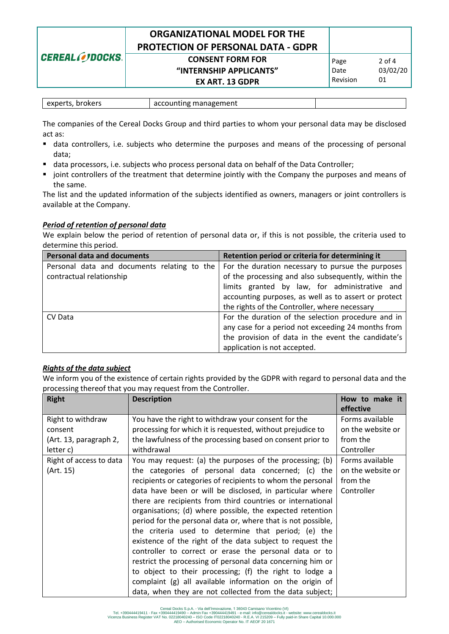|                 | <b>ORGANIZATIONAL MODEL FOR THE</b><br><b>PROTECTION OF PERSONAL DATA - GDPR</b> |          |          |
|-----------------|----------------------------------------------------------------------------------|----------|----------|
| CEREAL OJDOCKS. | <b>CONSENT FORM FOR</b>                                                          | Page     | $2$ of 4 |
|                 | "INTERNSHIP APPLICANTS"                                                          | Date     | 03/02/20 |
|                 | <b>EX ART. 13 GDPR</b>                                                           | Revision | 01       |

| experts, brokers | accounting management |  |
|------------------|-----------------------|--|

The companies of the Cereal Docks Group and third parties to whom your personal data may be disclosed act as:

- data controllers, i.e. subjects who determine the purposes and means of the processing of personal data;
- data processors, i.e. subjects who process personal data on behalf of the Data Controller;
- **•** joint controllers of the treatment that determine jointly with the Company the purposes and means of the same.

The list and the updated information of the subjects identified as owners, managers or joint controllers is available at the Company.

#### *Period of retention of personal data*

We explain below the period of retention of personal data or, if this is not possible, the criteria used to determine this period.

| <b>Personal data and documents</b>                 | Retention period or criteria for determining it      |  |  |  |
|----------------------------------------------------|------------------------------------------------------|--|--|--|
| Personal data and documents relating to the        | For the duration necessary to pursue the purposes    |  |  |  |
| contractual relationship                           | of the processing and also subsequently, within the  |  |  |  |
| limits granted by law, for administrative and      |                                                      |  |  |  |
|                                                    | accounting purposes, as well as to assert or protect |  |  |  |
|                                                    | the rights of the Controller, where necessary        |  |  |  |
| CV Data                                            | For the duration of the selection procedure and in   |  |  |  |
| any case for a period not exceeding 24 months from |                                                      |  |  |  |
|                                                    | the provision of data in the event the candidate's   |  |  |  |
|                                                    | application is not accepted.                         |  |  |  |

#### *Rights of the data subject*

We inform you of the existence of certain rights provided by the GDPR with regard to personal data and the processing thereof that you may request from the Controller.

| <b>Right</b>            | <b>Description</b>                                           | How to make it<br>effective |
|-------------------------|--------------------------------------------------------------|-----------------------------|
| Right to withdraw       | You have the right to withdraw your consent for the          | Forms available             |
| consent                 | processing for which it is requested, without prejudice to   | on the website or           |
| (Art. 13, paragraph 2,  | the lawfulness of the processing based on consent prior to   | from the                    |
| letter c)               | withdrawal                                                   | Controller                  |
| Right of access to data | You may request: (a) the purposes of the processing; (b)     | Forms available             |
| (Art. 15)               | the categories of personal data concerned; (c) the           | on the website or           |
|                         | recipients or categories of recipients to whom the personal  | from the                    |
|                         | data have been or will be disclosed, in particular where     | Controller                  |
|                         | there are recipients from third countries or international   |                             |
|                         | organisations; (d) where possible, the expected retention    |                             |
|                         | period for the personal data or, where that is not possible, |                             |
|                         | the criteria used to determine that period; (e) the          |                             |
|                         | existence of the right of the data subject to request the    |                             |
|                         | controller to correct or erase the personal data or to       |                             |
|                         | restrict the processing of personal data concerning him or   |                             |
|                         | to object to their processing; (f) the right to lodge a      |                             |
|                         | complaint (g) all available information on the origin of     |                             |
|                         | data, when they are not collected from the data subject;     |                             |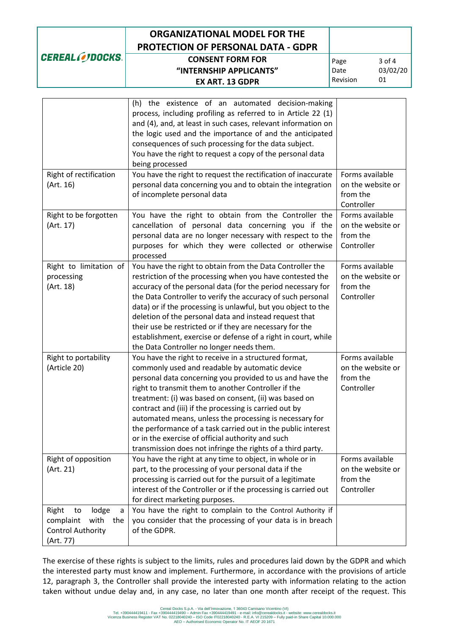| <b>CEREAL CODOCKS.</b> |  |
|------------------------|--|
|                        |  |

# **ORGANIZATIONAL MODEL FOR THE PROTECTION OF PERSONAL DATA - GDPR**

# **CONSENT FORM FOR "INTERNSHIP APPLICANTS" EX ART. 13 GDPR**

|                           | (h) the existence of an automated decision-making              |                   |
|---------------------------|----------------------------------------------------------------|-------------------|
|                           | process, including profiling as referred to in Article 22 (1)  |                   |
|                           | and (4), and, at least in such cases, relevant information on  |                   |
|                           | the logic used and the importance of and the anticipated       |                   |
|                           | consequences of such processing for the data subject.          |                   |
|                           | You have the right to request a copy of the personal data      |                   |
|                           | being processed                                                |                   |
|                           |                                                                |                   |
| Right of rectification    | You have the right to request the rectification of inaccurate  | Forms available   |
| (Art. 16)                 | personal data concerning you and to obtain the integration     | on the website or |
|                           | of incomplete personal data                                    | from the          |
|                           |                                                                | Controller        |
| Right to be forgotten     | You have the right to obtain from the Controller the           | Forms available   |
| (Art. 17)                 | cancellation of personal data concerning you if the            | on the website or |
|                           | personal data are no longer necessary with respect to the      | from the          |
|                           | purposes for which they were collected or otherwise            | Controller        |
|                           | processed                                                      |                   |
| Right to limitation of    | You have the right to obtain from the Data Controller the      | Forms available   |
| processing                | restriction of the processing when you have contested the      | on the website or |
| (Art. 18)                 | accuracy of the personal data (for the period necessary for    | from the          |
|                           | the Data Controller to verify the accuracy of such personal    | Controller        |
|                           | data) or if the processing is unlawful, but you object to the  |                   |
|                           | deletion of the personal data and instead request that         |                   |
|                           | their use be restricted or if they are necessary for the       |                   |
|                           | establishment, exercise or defense of a right in court, while  |                   |
|                           |                                                                |                   |
|                           | the Data Controller no longer needs them.                      | Forms available   |
| Right to portability      | You have the right to receive in a structured format,          |                   |
| (Article 20)              | commonly used and readable by automatic device                 | on the website or |
|                           | personal data concerning you provided to us and have the       | from the          |
|                           | right to transmit them to another Controller if the            | Controller        |
|                           | treatment: (i) was based on consent, (ii) was based on         |                   |
|                           | contract and (iii) if the processing is carried out by         |                   |
|                           | automated means, unless the processing is necessary for        |                   |
|                           | the performance of a task carried out in the public interest   |                   |
|                           | or in the exercise of official authority and such              |                   |
|                           | transmission does not infringe the rights of a third party.    |                   |
| Right of opposition       | You have the right at any time to object, in whole or in       | Forms available   |
| (Art. 21)                 | part, to the processing of your personal data if the           | on the website or |
|                           | processing is carried out for the pursuit of a legitimate      | from the          |
|                           | interest of the Controller or if the processing is carried out | Controller        |
|                           | for direct marketing purposes.                                 |                   |
| Right<br>to<br>lodge<br>a | You have the right to complain to the Control Authority if     |                   |
| with<br>complaint<br>the  | you consider that the processing of your data is in breach     |                   |
| <b>Control Authority</b>  | of the GDPR.                                                   |                   |
|                           |                                                                |                   |
| (Art. 77)                 |                                                                |                   |

The exercise of these rights is subject to the limits, rules and procedures laid down by the GDPR and which the interested party must know and implement. Furthermore, in accordance with the provisions of article 12, paragraph 3, the Controller shall provide the interested party with information relating to the action taken without undue delay and, in any case, no later than one month after receipt of the request. This